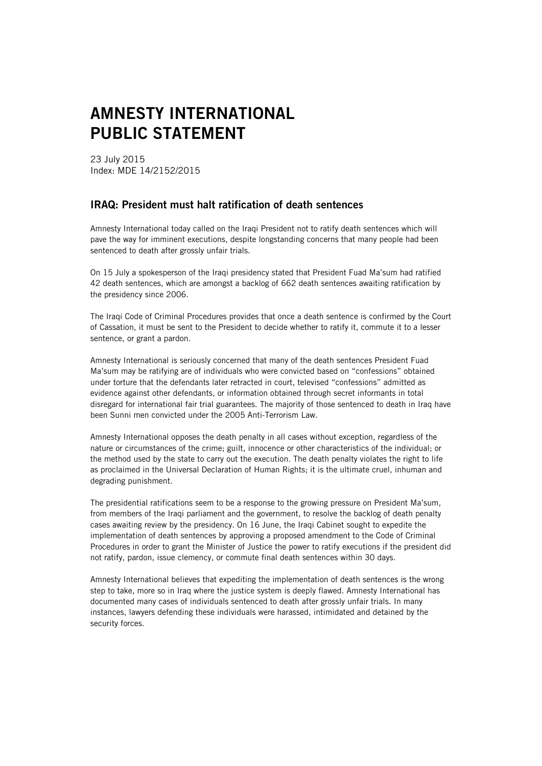## AMNESTY INTERNATIONAL PUBLIC STATEMENT

23 July 2015 Index: MDE 14/2152/2015

## IRAQ: President must halt ratification of death sentences

Amnesty International today called on the Iraqi President not to ratify death sentences which will pave the way for imminent executions, despite longstanding concerns that many people had been sentenced to death after grossly unfair trials.

On 15 July a spokesperson of the Iraqi presidency stated that President Fuad Ma'sum had ratified 42 death sentences, which are amongst a backlog of 662 death sentences awaiting ratification by the presidency since 2006.

The Iraqi Code of Criminal Procedures provides that once a death sentence is confirmed by the Court of Cassation, it must be sent to the President to decide whether to ratify it, commute it to a lesser sentence, or grant a pardon.

Amnesty International is seriously concerned that many of the death sentences President Fuad Ma'sum may be ratifying are of individuals who were convicted based on "confessions" obtained under torture that the defendants later retracted in court, televised "confessions" admitted as evidence against other defendants, or information obtained through secret informants in total disregard for international fair trial guarantees. The majority of those sentenced to death in Iraq have been Sunni men convicted under the 2005 Anti-Terrorism Law.

Amnesty International opposes the death penalty in all cases without exception, regardless of the nature or circumstances of the crime; guilt, innocence or other characteristics of the individual; or the method used by the state to carry out the execution. The death penalty violates the right to life as proclaimed in the Universal Declaration of Human Rights; it is the ultimate cruel, inhuman and degrading punishment.

The presidential ratifications seem to be a response to the growing pressure on President Ma'sum, from members of the Iraqi parliament and the government, to resolve the backlog of death penalty cases awaiting review by the presidency. On 16 June, the Iraqi Cabinet sought to expedite the implementation of death sentences by approving a proposed amendment to the Code of Criminal Procedures in order to grant the Minister of Justice the power to ratify executions if the president did not ratify, pardon, issue clemency, or commute final death sentences within 30 days.

Amnesty International believes that expediting the implementation of death sentences is the wrong step to take, more so in Iraq where the justice system is deeply flawed. Amnesty International has documented many cases of individuals sentenced to death after grossly unfair trials. In many instances, lawyers defending these individuals were harassed, intimidated and detained by the security forces.